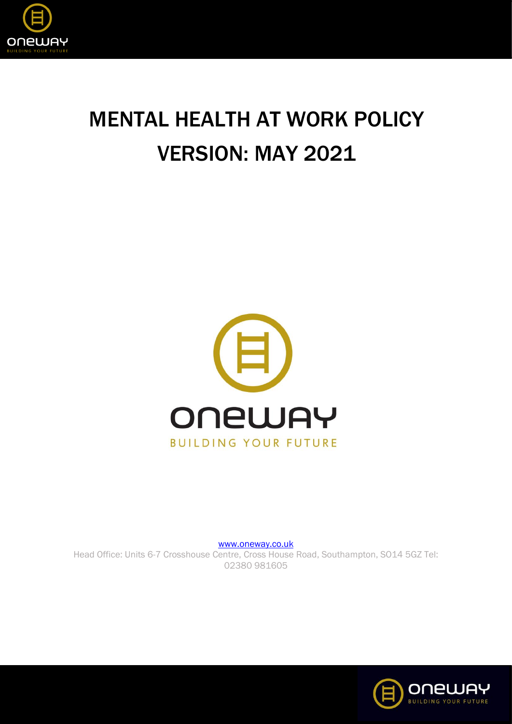

# MENTAL HEALTH AT WORK POLICY VERSION: MAY 2021



[www.oneway.co.uk](http://www.oneway.co.uk/) Head Office: Units 6-7 Crosshouse Centre, Cross House Road, Southampton, SO14 5GZ Tel: 02380 981605

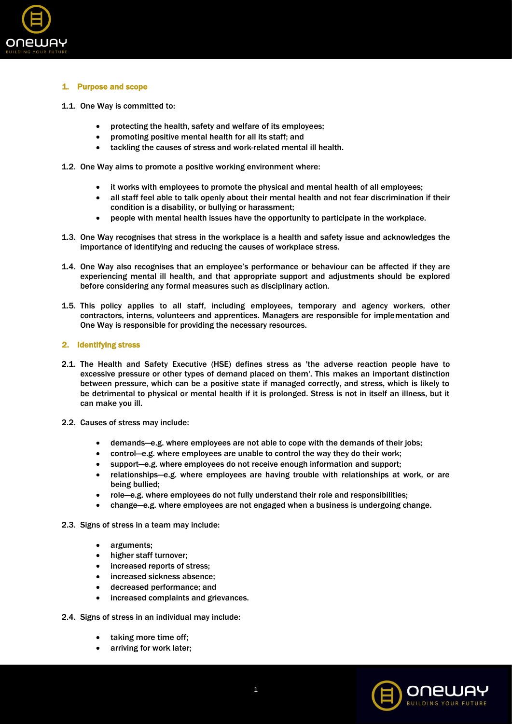

## 1. Purpose and scope

- 1.1. One Way is committed to:
	- protecting the health, safety and welfare of its employees;
	- promoting positive mental health for all its staff; and
	- tackling the causes of stress and work-related mental ill health.
- 1.2. One Way aims to promote a positive working environment where:
	- it works with employees to promote the physical and mental health of all employees;
	- all staff feel able to talk openly about their mental health and not fear discrimination if their condition is a disability, or bullying or harassment;
	- people with mental health issues have the opportunity to participate in the workplace.
- 1.3. One Way recognises that stress in the workplace is a health and safety issue and acknowledges the importance of identifying and reducing the causes of workplace stress.
- 1.4. One Way also recognises that an employee's performance or behaviour can be affected if they are experiencing mental ill health, and that appropriate support and adjustments should be explored before considering any formal measures such as disciplinary action.
- 1.5. This policy applies to all staff, including employees, temporary and agency workers, other contractors, interns, volunteers and apprentices. Managers are responsible for implementation and One Way is responsible for providing the necessary resources.

## 2. Identifying stress

- 2.1. The Health and Safety Executive (HSE) defines stress as 'the adverse reaction people have to excessive pressure or other types of demand placed on them'. This makes an important distinction between pressure, which can be a positive state if managed correctly, and stress, which is likely to be detrimental to physical or mental health if it is prolonged. Stress is not in itself an illness, but it can make you ill.
- 2.2. Causes of stress may include:
	- demands—e.g. where employees are not able to cope with the demands of their jobs;
	- control—e.g. where employees are unable to control the way they do their work;
	- support—e.g. where employees do not receive enough information and support;
	- relationships—e.g. where employees are having trouble with relationships at work, or are being bullied;
	- role—e.g. where employees do not fully understand their role and responsibilities;
	- change—e.g. where employees are not engaged when a business is undergoing change.
- 2.3. Signs of stress in a team may include:
	- arguments;
	- higher staff turnover;
	- increased reports of stress;
	- increased sickness absence;
	- decreased performance; and
	- increased complaints and grievances.
- 2.4. Signs of stress in an individual may include:
	- taking more time off;
	- arriving for work later:

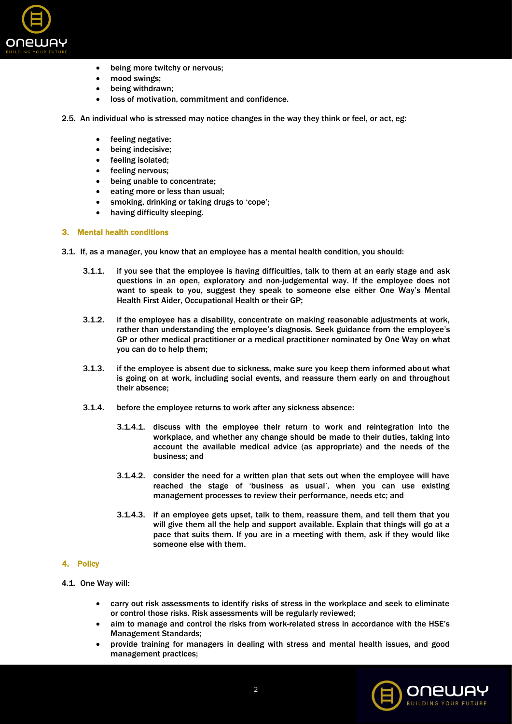

- being more twitchy or nervous;
- mood swings;
- being withdrawn;
- loss of motivation, commitment and confidence.
- 2.5. An individual who is stressed may notice changes in the way they think or feel, or act, eg:
	- feeling negative;
	- being indecisive;
	- feeling isolated;
	- feeling nervous;
	- being unable to concentrate;
	- eating more or less than usual;
	- smoking, drinking or taking drugs to 'cope';
	- having difficulty sleeping.

## 3. Mental health conditions

- 3.1. If, as a manager, you know that an employee has a mental health condition, you should:
	- 3.1.1. if you see that the employee is having difficulties, talk to them at an early stage and ask questions in an open, exploratory and non-judgemental way. If the employee does not want to speak to you, suggest they speak to someone else either One Way's Mental Health First Aider, Occupational Health or their GP;
	- 3.1.2. if the employee has a disability, concentrate on making reasonable adjustments at work, rather than understanding the employee's diagnosis. Seek guidance from the employee's GP or other medical practitioner or a medical practitioner nominated by One Way on what you can do to help them;
	- 3.1.3. if the employee is absent due to sickness, make sure you keep them informed about what is going on at work, including social events, and reassure them early on and throughout their absence;
	- 3.1.4. before the employee returns to work after any sickness absence:
		- 3.1.4.1. discuss with the employee their return to work and reintegration into the workplace, and whether any change should be made to their duties, taking into account the available medical advice (as appropriate) and the needs of the business; and
		- 3.1.4.2. consider the need for a written plan that sets out when the employee will have reached the stage of 'business as usual', when you can use existing management processes to review their performance, needs etc; and
		- 3.1.4.3. if an employee gets upset, talk to them, reassure them, and tell them that you will give them all the help and support available. Explain that things will go at a pace that suits them. If you are in a meeting with them, ask if they would like someone else with them.

# 4. Policy

- 4.1. One Way will:
	- carry out risk assessments to identify risks of stress in the workplace and seek to eliminate or control those risks. Risk assessments will be regularly reviewed;
	- aim to manage and control the risks from work-related stress in accordance with the HSE's Management Standards;
	- provide training for managers in dealing with stress and mental health issues, and good management practices;